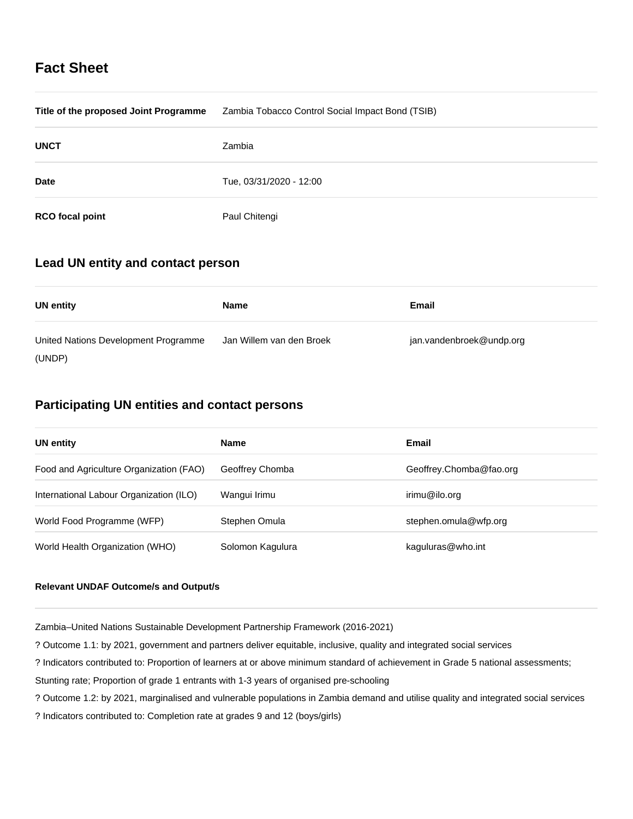# **Fact Sheet**

| Title of the proposed Joint Programme | Zambia Tobacco Control Social Impact Bond (TSIB) |
|---------------------------------------|--------------------------------------------------|
| <b>UNCT</b>                           | Zambia                                           |
| <b>Date</b>                           | Tue, 03/31/2020 - 12:00                          |
| <b>RCO</b> focal point                | Paul Chitengi                                    |

# **Lead UN entity and contact person**

| <b>UN entity</b>                     | Name                     | Email                    |
|--------------------------------------|--------------------------|--------------------------|
| United Nations Development Programme | Jan Willem van den Broek | jan.vandenbroek@undp.org |
| (UNDP)                               |                          |                          |

# **Participating UN entities and contact persons**

| <b>UN entity</b>                        | <b>Name</b>      | Email                   |
|-----------------------------------------|------------------|-------------------------|
| Food and Agriculture Organization (FAO) | Geoffrey Chomba  | Geoffrey.Chomba@fao.org |
| International Labour Organization (ILO) | Wangui Irimu     | irimu@ilo.org           |
| World Food Programme (WFP)              | Stephen Omula    | stephen.omula@wfp.org   |
| World Health Organization (WHO)         | Solomon Kagulura | kaguluras@who.int       |

## **Relevant UNDAF Outcome/s and Output/s**

Zambia–United Nations Sustainable Development Partnership Framework (2016-2021)

? Outcome 1.1: by 2021, government and partners deliver equitable, inclusive, quality and integrated social services

? Indicators contributed to: Proportion of learners at or above minimum standard of achievement in Grade 5 national assessments;

Stunting rate; Proportion of grade 1 entrants with 1-3 years of organised pre-schooling

? Outcome 1.2: by 2021, marginalised and vulnerable populations in Zambia demand and utilise quality and integrated social services

? Indicators contributed to: Completion rate at grades 9 and 12 (boys/girls)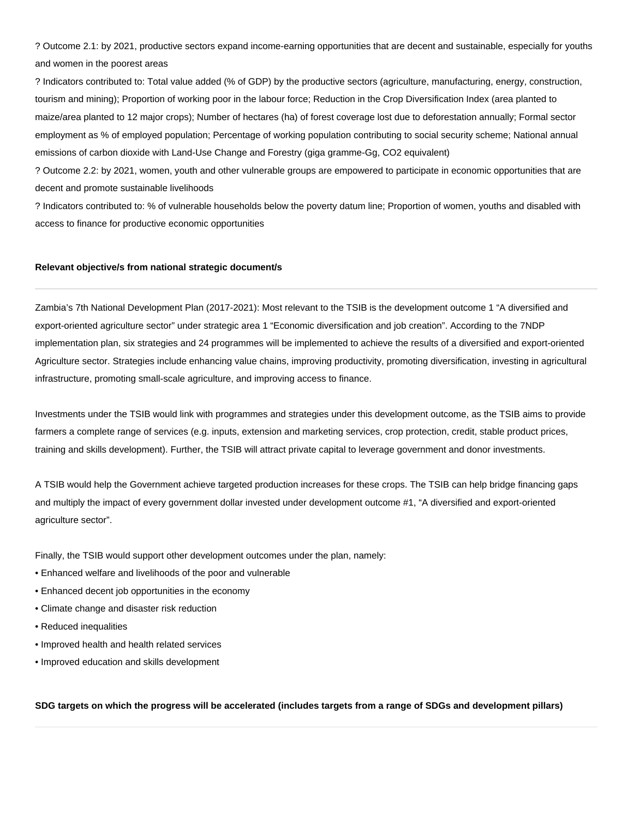? Outcome 2.1: by 2021, productive sectors expand income-earning opportunities that are decent and sustainable, especially for youths and women in the poorest areas

? Indicators contributed to: Total value added (% of GDP) by the productive sectors (agriculture, manufacturing, energy, construction, tourism and mining); Proportion of working poor in the labour force; Reduction in the Crop Diversification Index (area planted to maize/area planted to 12 major crops); Number of hectares (ha) of forest coverage lost due to deforestation annually; Formal sector employment as % of employed population; Percentage of working population contributing to social security scheme; National annual emissions of carbon dioxide with Land-Use Change and Forestry (giga gramme-Gg, CO2 equivalent)

? Outcome 2.2: by 2021, women, youth and other vulnerable groups are empowered to participate in economic opportunities that are decent and promote sustainable livelihoods

? Indicators contributed to: % of vulnerable households below the poverty datum line; Proportion of women, youths and disabled with access to finance for productive economic opportunities

## **Relevant objective/s from national strategic document/s**

Zambia's 7th National Development Plan (2017-2021): Most relevant to the TSIB is the development outcome 1 "A diversified and export-oriented agriculture sector" under strategic area 1 "Economic diversification and job creation". According to the 7NDP implementation plan, six strategies and 24 programmes will be implemented to achieve the results of a diversified and export-oriented Agriculture sector. Strategies include enhancing value chains, improving productivity, promoting diversification, investing in agricultural infrastructure, promoting small-scale agriculture, and improving access to finance.

Investments under the TSIB would link with programmes and strategies under this development outcome, as the TSIB aims to provide farmers a complete range of services (e.g. inputs, extension and marketing services, crop protection, credit, stable product prices, training and skills development). Further, the TSIB will attract private capital to leverage government and donor investments.

A TSIB would help the Government achieve targeted production increases for these crops. The TSIB can help bridge financing gaps and multiply the impact of every government dollar invested under development outcome #1, "A diversified and export-oriented agriculture sector".

Finally, the TSIB would support other development outcomes under the plan, namely:

- Enhanced welfare and livelihoods of the poor and vulnerable
- Enhanced decent job opportunities in the economy
- Climate change and disaster risk reduction
- Reduced inequalities
- Improved health and health related services
- Improved education and skills development

**SDG targets on which the progress will be accelerated (includes targets from a range of SDGs and development pillars)**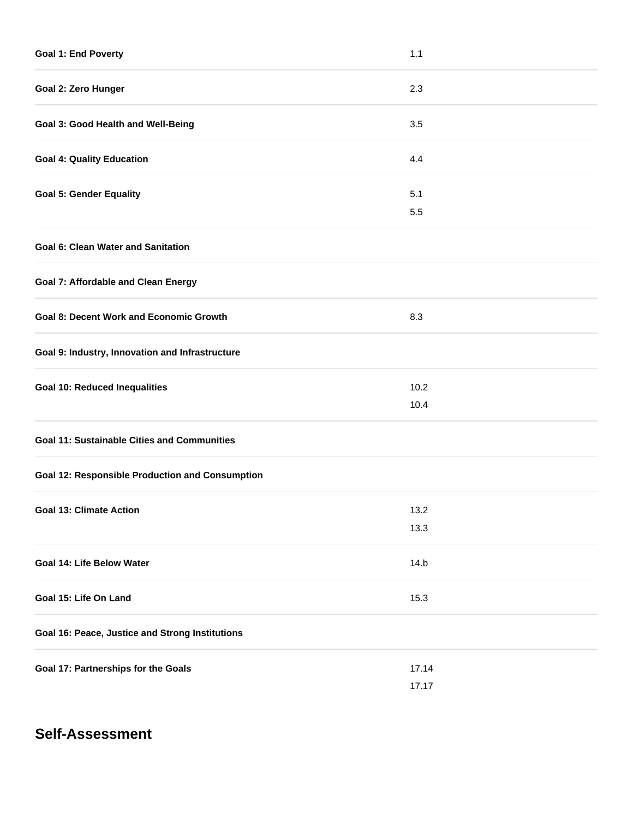| <b>Goal 1: End Poverty</b>                             | 1.1   |  |
|--------------------------------------------------------|-------|--|
| Goal 2: Zero Hunger                                    | 2.3   |  |
| Goal 3: Good Health and Well-Being                     | 3.5   |  |
| <b>Goal 4: Quality Education</b>                       | 4.4   |  |
| <b>Goal 5: Gender Equality</b>                         | 5.1   |  |
|                                                        | 5.5   |  |
| <b>Goal 6: Clean Water and Sanitation</b>              |       |  |
| <b>Goal 7: Affordable and Clean Energy</b>             |       |  |
| <b>Goal 8: Decent Work and Economic Growth</b>         | 8.3   |  |
| Goal 9: Industry, Innovation and Infrastructure        |       |  |
| <b>Goal 10: Reduced Inequalities</b>                   | 10.2  |  |
|                                                        | 10.4  |  |
| <b>Goal 11: Sustainable Cities and Communities</b>     |       |  |
| <b>Goal 12: Responsible Production and Consumption</b> |       |  |
| <b>Goal 13: Climate Action</b>                         | 13.2  |  |
|                                                        | 13.3  |  |
| Goal 14: Life Below Water                              | 14.b  |  |
| Goal 15: Life On Land                                  | 15.3  |  |
| Goal 16: Peace, Justice and Strong Institutions        |       |  |
| Goal 17: Partnerships for the Goals                    | 17.14 |  |
|                                                        | 17.17 |  |

# **Self-Assessment**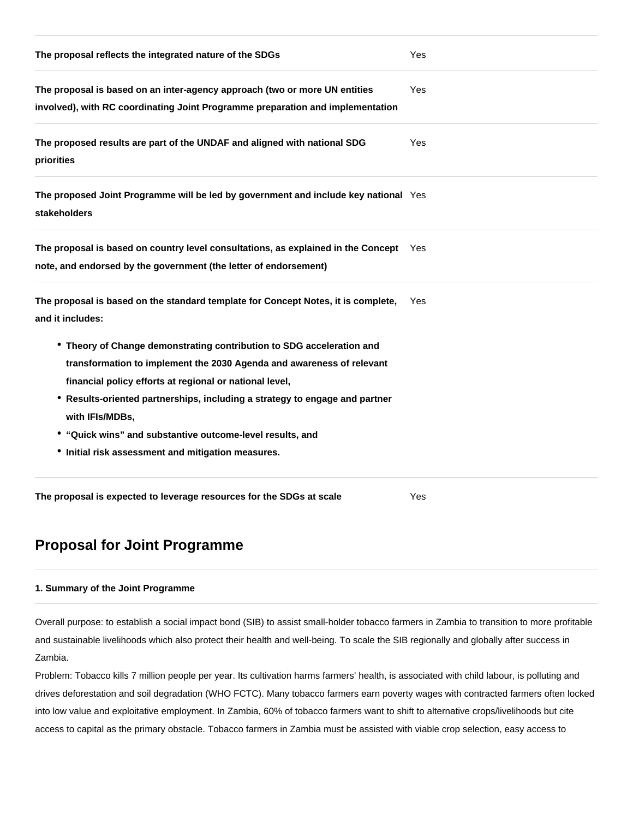| The proposal reflects the integrated nature of the SDGs                                                                                                                                                                                                                                                                                                                                                                        | Yes |
|--------------------------------------------------------------------------------------------------------------------------------------------------------------------------------------------------------------------------------------------------------------------------------------------------------------------------------------------------------------------------------------------------------------------------------|-----|
| The proposal is based on an inter-agency approach (two or more UN entities<br>involved), with RC coordinating Joint Programme preparation and implementation                                                                                                                                                                                                                                                                   | Yes |
| The proposed results are part of the UNDAF and aligned with national SDG<br>priorities                                                                                                                                                                                                                                                                                                                                         | Yes |
| The proposed Joint Programme will be led by government and include key national Yes<br><b>stakeholders</b>                                                                                                                                                                                                                                                                                                                     |     |
| The proposal is based on country level consultations, as explained in the Concept Yes<br>note, and endorsed by the government (the letter of endorsement)                                                                                                                                                                                                                                                                      |     |
| The proposal is based on the standard template for Concept Notes, it is complete,<br>and it includes:                                                                                                                                                                                                                                                                                                                          | Yes |
| • Theory of Change demonstrating contribution to SDG acceleration and<br>transformation to implement the 2030 Agenda and awareness of relevant<br>financial policy efforts at regional or national level,<br>* Results-oriented partnerships, including a strategy to engage and partner<br>with IFIs/MDBs,<br>• "Quick wins" and substantive outcome-level results, and<br>• Initial risk assessment and mitigation measures. |     |
| The proposal is expected to leverage resources for the SDGs at scale                                                                                                                                                                                                                                                                                                                                                           | Yes |

# **Proposal for Joint Programme**

## **1. Summary of the Joint Programme**

Overall purpose: to establish a social impact bond (SIB) to assist small-holder tobacco farmers in Zambia to transition to more profitable and sustainable livelihoods which also protect their health and well-being. To scale the SIB regionally and globally after success in Zambia.

Problem: Tobacco kills 7 million people per year. Its cultivation harms farmers' health, is associated with child labour, is polluting and drives deforestation and soil degradation (WHO FCTC). Many tobacco farmers earn poverty wages with contracted farmers often locked into low value and exploitative employment. In Zambia, 60% of tobacco farmers want to shift to alternative crops/livelihoods but cite access to capital as the primary obstacle. Tobacco farmers in Zambia must be assisted with viable crop selection, easy access to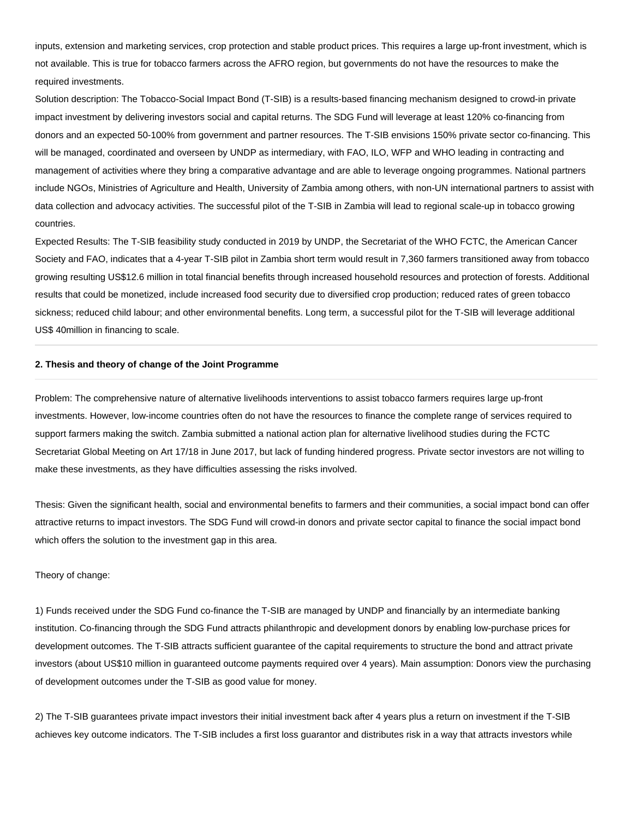inputs, extension and marketing services, crop protection and stable product prices. This requires a large up-front investment, which is not available. This is true for tobacco farmers across the AFRO region, but governments do not have the resources to make the required investments.

Solution description: The Tobacco-Social Impact Bond (T-SIB) is a results-based financing mechanism designed to crowd-in private impact investment by delivering investors social and capital returns. The SDG Fund will leverage at least 120% co-financing from donors and an expected 50-100% from government and partner resources. The T-SIB envisions 150% private sector co-financing. This will be managed, coordinated and overseen by UNDP as intermediary, with FAO, ILO, WFP and WHO leading in contracting and management of activities where they bring a comparative advantage and are able to leverage ongoing programmes. National partners include NGOs, Ministries of Agriculture and Health, University of Zambia among others, with non-UN international partners to assist with data collection and advocacy activities. The successful pilot of the T-SIB in Zambia will lead to regional scale-up in tobacco growing countries.

Expected Results: The T-SIB feasibility study conducted in 2019 by UNDP, the Secretariat of the WHO FCTC, the American Cancer Society and FAO, indicates that a 4-year T-SIB pilot in Zambia short term would result in 7,360 farmers transitioned away from tobacco growing resulting US\$12.6 million in total financial benefits through increased household resources and protection of forests. Additional results that could be monetized, include increased food security due to diversified crop production; reduced rates of green tobacco sickness; reduced child labour; and other environmental benefits. Long term, a successful pilot for the T-SIB will leverage additional US\$ 40million in financing to scale.

#### **2. Thesis and theory of change of the Joint Programme**

Problem: The comprehensive nature of alternative livelihoods interventions to assist tobacco farmers requires large up-front investments. However, low-income countries often do not have the resources to finance the complete range of services required to support farmers making the switch. Zambia submitted a national action plan for alternative livelihood studies during the FCTC Secretariat Global Meeting on Art 17/18 in June 2017, but lack of funding hindered progress. Private sector investors are not willing to make these investments, as they have difficulties assessing the risks involved.

Thesis: Given the significant health, social and environmental benefits to farmers and their communities, a social impact bond can offer attractive returns to impact investors. The SDG Fund will crowd-in donors and private sector capital to finance the social impact bond which offers the solution to the investment gap in this area.

#### Theory of change:

1) Funds received under the SDG Fund co-finance the T-SIB are managed by UNDP and financially by an intermediate banking institution. Co-financing through the SDG Fund attracts philanthropic and development donors by enabling low-purchase prices for development outcomes. The T-SIB attracts sufficient guarantee of the capital requirements to structure the bond and attract private investors (about US\$10 million in guaranteed outcome payments required over 4 years). Main assumption: Donors view the purchasing of development outcomes under the T-SIB as good value for money.

2) The T-SIB guarantees private impact investors their initial investment back after 4 years plus a return on investment if the T-SIB achieves key outcome indicators. The T-SIB includes a first loss guarantor and distributes risk in a way that attracts investors while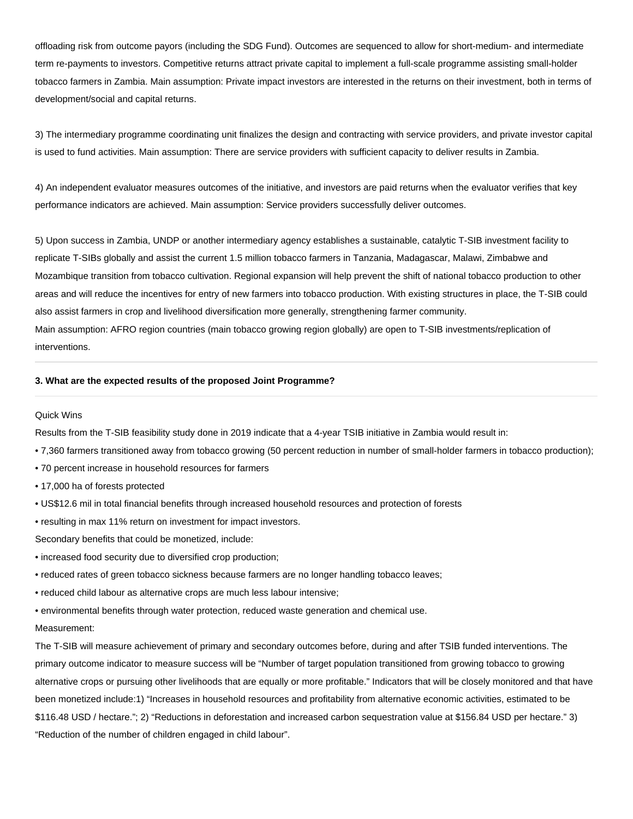offloading risk from outcome payors (including the SDG Fund). Outcomes are sequenced to allow for short-medium- and intermediate term re-payments to investors. Competitive returns attract private capital to implement a full-scale programme assisting small-holder tobacco farmers in Zambia. Main assumption: Private impact investors are interested in the returns on their investment, both in terms of development/social and capital returns.

3) The intermediary programme coordinating unit finalizes the design and contracting with service providers, and private investor capital is used to fund activities. Main assumption: There are service providers with sufficient capacity to deliver results in Zambia.

4) An independent evaluator measures outcomes of the initiative, and investors are paid returns when the evaluator verifies that key performance indicators are achieved. Main assumption: Service providers successfully deliver outcomes.

5) Upon success in Zambia, UNDP or another intermediary agency establishes a sustainable, catalytic T-SIB investment facility to replicate T-SIBs globally and assist the current 1.5 million tobacco farmers in Tanzania, Madagascar, Malawi, Zimbabwe and Mozambique transition from tobacco cultivation. Regional expansion will help prevent the shift of national tobacco production to other areas and will reduce the incentives for entry of new farmers into tobacco production. With existing structures in place, the T-SIB could also assist farmers in crop and livelihood diversification more generally, strengthening farmer community. Main assumption: AFRO region countries (main tobacco growing region globally) are open to T-SIB investments/replication of

interventions.

#### **3. What are the expected results of the proposed Joint Programme?**

#### Quick Wins

Results from the T-SIB feasibility study done in 2019 indicate that a 4-year TSIB initiative in Zambia would result in:

- 7,360 farmers transitioned away from tobacco growing (50 percent reduction in number of small-holder farmers in tobacco production);
- 70 percent increase in household resources for farmers
- 17,000 ha of forests protected
- US\$12.6 mil in total financial benefits through increased household resources and protection of forests
- resulting in max 11% return on investment for impact investors.

Secondary benefits that could be monetized, include:

- increased food security due to diversified crop production;
- reduced rates of green tobacco sickness because farmers are no longer handling tobacco leaves;
- reduced child labour as alternative crops are much less labour intensive;
- environmental benefits through water protection, reduced waste generation and chemical use.

#### Measurement:

The T-SIB will measure achievement of primary and secondary outcomes before, during and after TSIB funded interventions. The primary outcome indicator to measure success will be "Number of target population transitioned from growing tobacco to growing alternative crops or pursuing other livelihoods that are equally or more profitable." Indicators that will be closely monitored and that have been monetized include:1) "Increases in household resources and profitability from alternative economic activities, estimated to be \$116.48 USD / hectare."; 2) "Reductions in deforestation and increased carbon sequestration value at \$156.84 USD per hectare." 3) "Reduction of the number of children engaged in child labour".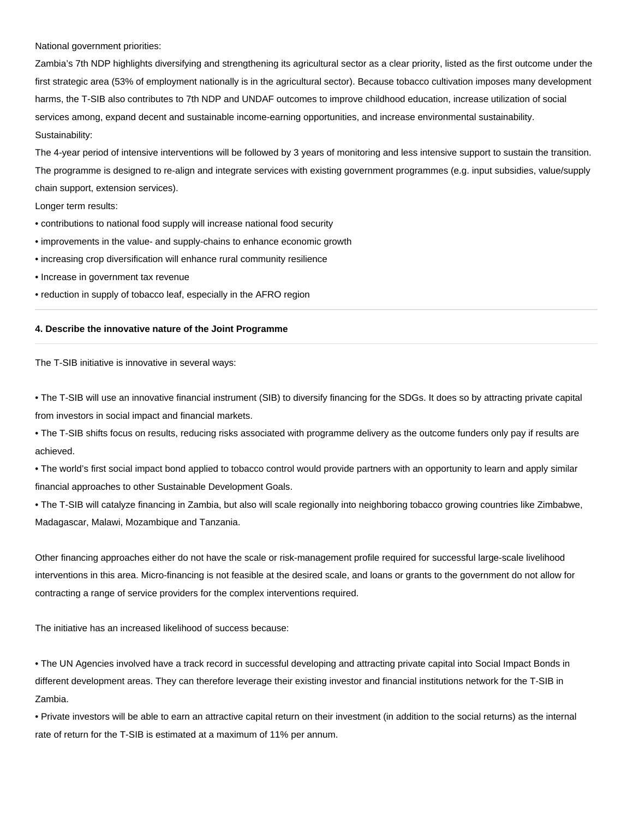National government priorities:

Zambia's 7th NDP highlights diversifying and strengthening its agricultural sector as a clear priority, listed as the first outcome under the first strategic area (53% of employment nationally is in the agricultural sector). Because tobacco cultivation imposes many development harms, the T-SIB also contributes to 7th NDP and UNDAF outcomes to improve childhood education, increase utilization of social services among, expand decent and sustainable income-earning opportunities, and increase environmental sustainability. Sustainability:

The 4-year period of intensive interventions will be followed by 3 years of monitoring and less intensive support to sustain the transition. The programme is designed to re-align and integrate services with existing government programmes (e.g. input subsidies, value/supply chain support, extension services).

Longer term results:

- contributions to national food supply will increase national food security
- improvements in the value- and supply-chains to enhance economic growth
- increasing crop diversification will enhance rural community resilience
- Increase in government tax revenue
- reduction in supply of tobacco leaf, especially in the AFRO region

#### **4. Describe the innovative nature of the Joint Programme**

The T-SIB initiative is innovative in several ways:

• The T-SIB will use an innovative financial instrument (SIB) to diversify financing for the SDGs. It does so by attracting private capital from investors in social impact and financial markets.

• The T-SIB shifts focus on results, reducing risks associated with programme delivery as the outcome funders only pay if results are achieved.

• The world's first social impact bond applied to tobacco control would provide partners with an opportunity to learn and apply similar financial approaches to other Sustainable Development Goals.

• The T-SIB will catalyze financing in Zambia, but also will scale regionally into neighboring tobacco growing countries like Zimbabwe, Madagascar, Malawi, Mozambique and Tanzania.

Other financing approaches either do not have the scale or risk-management profile required for successful large-scale livelihood interventions in this area. Micro-financing is not feasible at the desired scale, and loans or grants to the government do not allow for contracting a range of service providers for the complex interventions required.

The initiative has an increased likelihood of success because:

• The UN Agencies involved have a track record in successful developing and attracting private capital into Social Impact Bonds in different development areas. They can therefore leverage their existing investor and financial institutions network for the T-SIB in Zambia.

• Private investors will be able to earn an attractive capital return on their investment (in addition to the social returns) as the internal rate of return for the T-SIB is estimated at a maximum of 11% per annum.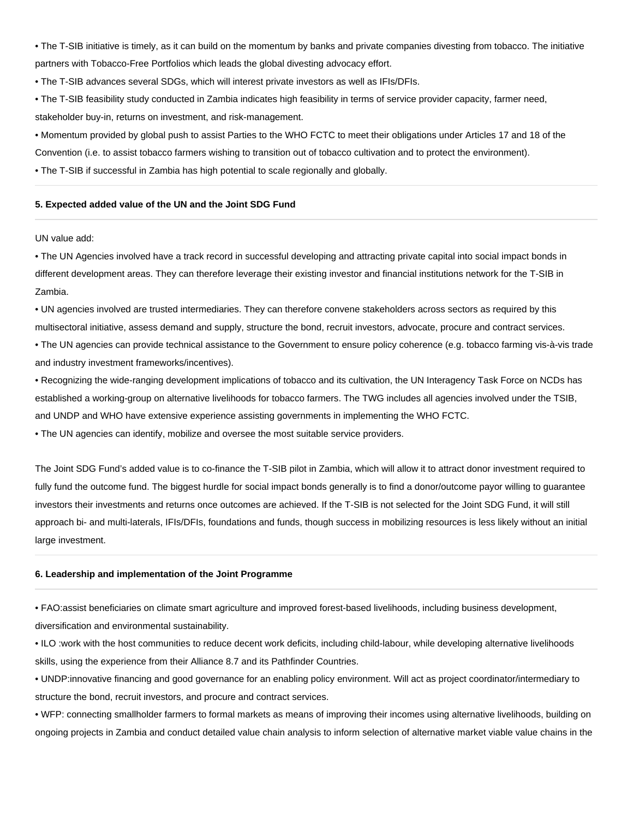• The T-SIB initiative is timely, as it can build on the momentum by banks and private companies divesting from tobacco. The initiative partners with Tobacco-Free Portfolios which leads the global divesting advocacy effort.

• The T-SIB advances several SDGs, which will interest private investors as well as IFIs/DFIs.

- The T-SIB feasibility study conducted in Zambia indicates high feasibility in terms of service provider capacity, farmer need, stakeholder buy-in, returns on investment, and risk-management.
- Momentum provided by global push to assist Parties to the WHO FCTC to meet their obligations under Articles 17 and 18 of the
- Convention (i.e. to assist tobacco farmers wishing to transition out of tobacco cultivation and to protect the environment).

• The T-SIB if successful in Zambia has high potential to scale regionally and globally.

#### **5. Expected added value of the UN and the Joint SDG Fund**

#### UN value add:

• The UN Agencies involved have a track record in successful developing and attracting private capital into social impact bonds in different development areas. They can therefore leverage their existing investor and financial institutions network for the T-SIB in Zambia.

• UN agencies involved are trusted intermediaries. They can therefore convene stakeholders across sectors as required by this multisectoral initiative, assess demand and supply, structure the bond, recruit investors, advocate, procure and contract services.

• The UN agencies can provide technical assistance to the Government to ensure policy coherence (e.g. tobacco farming vis-à-vis trade and industry investment frameworks/incentives).

• Recognizing the wide-ranging development implications of tobacco and its cultivation, the UN Interagency Task Force on NCDs has established a working-group on alternative livelihoods for tobacco farmers. The TWG includes all agencies involved under the TSIB, and UNDP and WHO have extensive experience assisting governments in implementing the WHO FCTC.

• The UN agencies can identify, mobilize and oversee the most suitable service providers.

The Joint SDG Fund's added value is to co-finance the T-SIB pilot in Zambia, which will allow it to attract donor investment required to fully fund the outcome fund. The biggest hurdle for social impact bonds generally is to find a donor/outcome payor willing to guarantee investors their investments and returns once outcomes are achieved. If the T-SIB is not selected for the Joint SDG Fund, it will still approach bi- and multi-laterals, IFIs/DFIs, foundations and funds, though success in mobilizing resources is less likely without an initial large investment.

### **6. Leadership and implementation of the Joint Programme**

• FAO:assist beneficiaries on climate smart agriculture and improved forest-based livelihoods, including business development, diversification and environmental sustainability.

• ILO :work with the host communities to reduce decent work deficits, including child-labour, while developing alternative livelihoods skills, using the experience from their Alliance 8.7 and its Pathfinder Countries.

• UNDP:innovative financing and good governance for an enabling policy environment. Will act as project coordinator/intermediary to structure the bond, recruit investors, and procure and contract services.

• WFP: connecting smallholder farmers to formal markets as means of improving their incomes using alternative livelihoods, building on ongoing projects in Zambia and conduct detailed value chain analysis to inform selection of alternative market viable value chains in the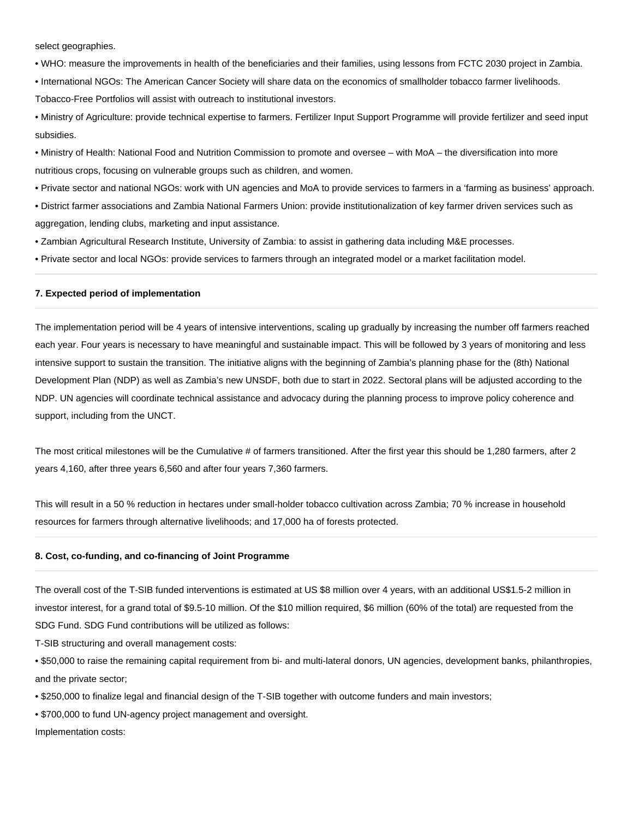select geographies.

• WHO: measure the improvements in health of the beneficiaries and their families, using lessons from FCTC 2030 project in Zambia.

• International NGOs: The American Cancer Society will share data on the economics of smallholder tobacco farmer livelihoods.

Tobacco-Free Portfolios will assist with outreach to institutional investors.

• Ministry of Agriculture: provide technical expertise to farmers. Fertilizer Input Support Programme will provide fertilizer and seed input subsidies.

• Ministry of Health: National Food and Nutrition Commission to promote and oversee – with MoA – the diversification into more nutritious crops, focusing on vulnerable groups such as children, and women.

• Private sector and national NGOs: work with UN agencies and MoA to provide services to farmers in a 'farming as business' approach.

- District farmer associations and Zambia National Farmers Union: provide institutionalization of key farmer driven services such as aggregation, lending clubs, marketing and input assistance.
- Zambian Agricultural Research Institute, University of Zambia: to assist in gathering data including M&E processes.
- Private sector and local NGOs: provide services to farmers through an integrated model or a market facilitation model.

## **7. Expected period of implementation**

The implementation period will be 4 years of intensive interventions, scaling up gradually by increasing the number off farmers reached each year. Four years is necessary to have meaningful and sustainable impact. This will be followed by 3 years of monitoring and less intensive support to sustain the transition. The initiative aligns with the beginning of Zambia's planning phase for the (8th) National Development Plan (NDP) as well as Zambia's new UNSDF, both due to start in 2022. Sectoral plans will be adjusted according to the NDP. UN agencies will coordinate technical assistance and advocacy during the planning process to improve policy coherence and support, including from the UNCT.

The most critical milestones will be the Cumulative # of farmers transitioned. After the first year this should be 1,280 farmers, after 2 years 4,160, after three years 6,560 and after four years 7,360 farmers.

This will result in a 50 % reduction in hectares under small-holder tobacco cultivation across Zambia; 70 % increase in household resources for farmers through alternative livelihoods; and 17,000 ha of forests protected.

## **8. Cost, co-funding, and co-financing of Joint Programme**

The overall cost of the T-SIB funded interventions is estimated at US \$8 million over 4 years, with an additional US\$1.5-2 million in investor interest, for a grand total of \$9.5-10 million. Of the \$10 million required, \$6 million (60% of the total) are requested from the SDG Fund. SDG Fund contributions will be utilized as follows:

T-SIB structuring and overall management costs:

• \$50,000 to raise the remaining capital requirement from bi- and multi-lateral donors, UN agencies, development banks, philanthropies, and the private sector;

• \$250,000 to finalize legal and financial design of the T-SIB together with outcome funders and main investors;

• \$700,000 to fund UN-agency project management and oversight.

Implementation costs: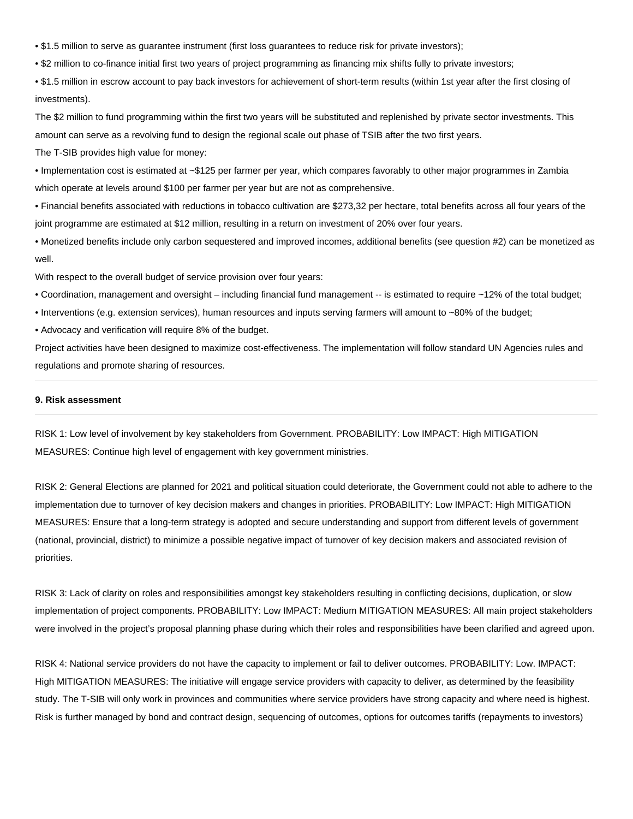• \$1.5 million to serve as guarantee instrument (first loss guarantees to reduce risk for private investors);

• \$2 million to co-finance initial first two years of project programming as financing mix shifts fully to private investors;

• \$1.5 million in escrow account to pay back investors for achievement of short-term results (within 1st year after the first closing of investments).

The \$2 million to fund programming within the first two years will be substituted and replenished by private sector investments. This amount can serve as a revolving fund to design the regional scale out phase of TSIB after the two first years.

The T-SIB provides high value for money:

• Implementation cost is estimated at ~\$125 per farmer per year, which compares favorably to other major programmes in Zambia which operate at levels around \$100 per farmer per year but are not as comprehensive.

• Financial benefits associated with reductions in tobacco cultivation are \$273,32 per hectare, total benefits across all four years of the joint programme are estimated at \$12 million, resulting in a return on investment of 20% over four years.

• Monetized benefits include only carbon sequestered and improved incomes, additional benefits (see question #2) can be monetized as well.

With respect to the overall budget of service provision over four years:

• Coordination, management and oversight – including financial fund management -- is estimated to require ~12% of the total budget;

• Interventions (e.g. extension services), human resources and inputs serving farmers will amount to ~80% of the budget;

• Advocacy and verification will require 8% of the budget.

Project activities have been designed to maximize cost-effectiveness. The implementation will follow standard UN Agencies rules and regulations and promote sharing of resources.

#### **9. Risk assessment**

RISK 1: Low level of involvement by key stakeholders from Government. PROBABILITY: Low IMPACT: High MITIGATION MEASURES: Continue high level of engagement with key government ministries.

RISK 2: General Elections are planned for 2021 and political situation could deteriorate, the Government could not able to adhere to the implementation due to turnover of key decision makers and changes in priorities. PROBABILITY: Low IMPACT: High MITIGATION MEASURES: Ensure that a long-term strategy is adopted and secure understanding and support from different levels of government (national, provincial, district) to minimize a possible negative impact of turnover of key decision makers and associated revision of priorities.

RISK 3: Lack of clarity on roles and responsibilities amongst key stakeholders resulting in conflicting decisions, duplication, or slow implementation of project components. PROBABILITY: Low IMPACT: Medium MITIGATION MEASURES: All main project stakeholders were involved in the project's proposal planning phase during which their roles and responsibilities have been clarified and agreed upon.

RISK 4: National service providers do not have the capacity to implement or fail to deliver outcomes. PROBABILITY: Low. IMPACT: High MITIGATION MEASURES: The initiative will engage service providers with capacity to deliver, as determined by the feasibility study. The T-SIB will only work in provinces and communities where service providers have strong capacity and where need is highest. Risk is further managed by bond and contract design, sequencing of outcomes, options for outcomes tariffs (repayments to investors)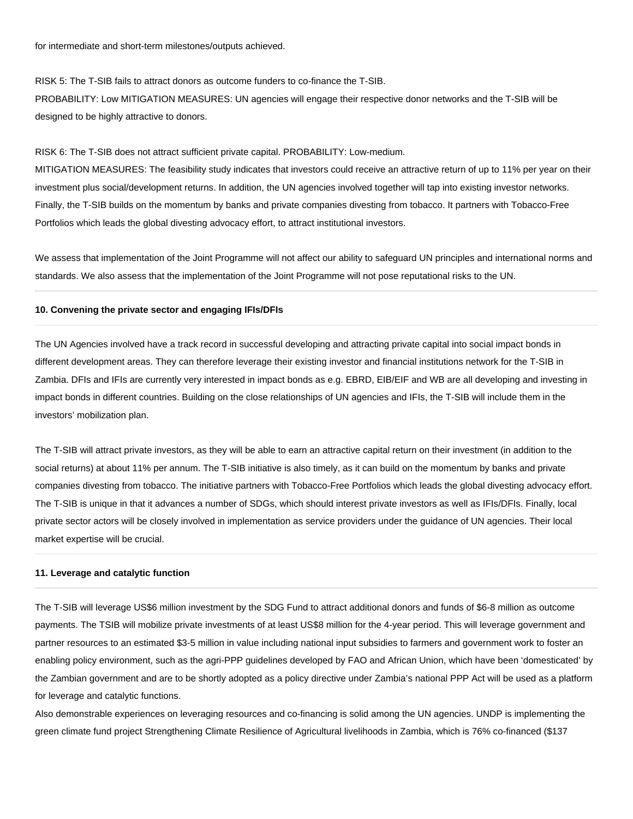for intermediate and short-term milestones/outputs achieved.

RISK 5: The T-SIB fails to attract donors as outcome funders to co-finance the T-SIB.

PROBABILITY: Low MITIGATION MEASURES: UN agencies will engage their respective donor networks and the T-SIB will be designed to be highly attractive to donors.

RISK 6: The T-SIB does not attract sufficient private capital. PROBABILITY: Low-medium.

MITIGATION MEASURES: The feasibility study indicates that investors could receive an attractive return of up to 11% per year on their investment plus social/development returns. In addition, the UN agencies involved together will tap into existing investor networks. Finally, the T-SIB builds on the momentum by banks and private companies divesting from tobacco. It partners with Tobacco-Free Portfolios which leads the global divesting advocacy effort, to attract institutional investors.

We assess that implementation of the Joint Programme will not affect our ability to safeguard UN principles and international norms and standards. We also assess that the implementation of the Joint Programme will not pose reputational risks to the UN.

#### **10. Convening the private sector and engaging IFIs/DFIs**

The UN Agencies involved have a track record in successful developing and attracting private capital into social impact bonds in different development areas. They can therefore leverage their existing investor and financial institutions network for the T-SIB in Zambia. DFIs and IFIs are currently very interested in impact bonds as e.g. EBRD, EIB/EIF and WB are all developing and investing in impact bonds in different countries. Building on the close relationships of UN agencies and IFIs, the T-SIB will include them in the investors' mobilization plan.

The T-SIB will attract private investors, as they will be able to earn an attractive capital return on their investment (in addition to the social returns) at about 11% per annum. The T-SIB initiative is also timely, as it can build on the momentum by banks and private companies divesting from tobacco. The initiative partners with Tobacco-Free Portfolios which leads the global divesting advocacy effort. The T-SIB is unique in that it advances a number of SDGs, which should interest private investors as well as IFIs/DFIs. Finally, local private sector actors will be closely involved in implementation as service providers under the guidance of UN agencies. Their local market expertise will be crucial.

#### **11. Leverage and catalytic function**

The T-SIB will leverage US\$6 million investment by the SDG Fund to attract additional donors and funds of \$6-8 million as outcome payments. The TSIB will mobilize private investments of at least US\$8 million for the 4-year period. This will leverage government and partner resources to an estimated \$3-5 million in value including national input subsidies to farmers and government work to foster an enabling policy environment, such as the agri-PPP guidelines developed by FAO and African Union, which have been 'domesticated' by the Zambian government and are to be shortly adopted as a policy directive under Zambia's national PPP Act will be used as a platform for leverage and catalytic functions.

Also demonstrable experiences on leveraging resources and co-financing is solid among the UN agencies. UNDP is implementing the green climate fund project Strengthening Climate Resilience of Agricultural livelihoods in Zambia, which is 76% co-financed (\$137